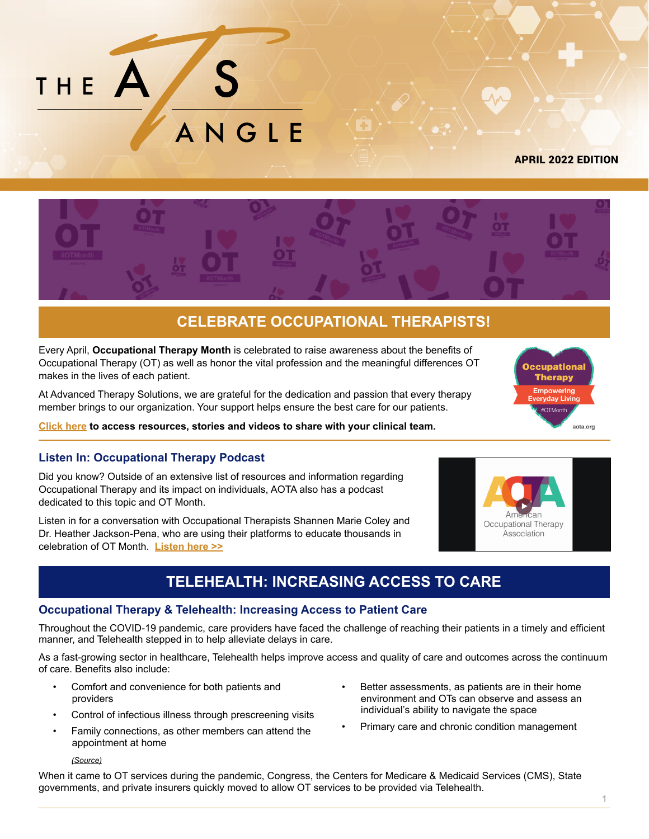

[APRIL 2022 EDITION](https://ats-therapy.com/)



# **CELEBRATE OCCUPATIONAL THERAPISTS!**

Every April, **Occupational Therapy Month** is celebrated to raise awareness about the benefits of Occupational Therapy (OT) as well as honor the vital profession and the meaningful differences OT makes in the lives of each patient.

At Advanced Therapy Solutions, we are grateful for the dedication and passion that every therapy member brings to our organization. Your support helps ensure the best care for our patients.

**[Click here](http://www.otcentennial.org/stories-overview) to access resources, stories and videos to share with your clinical team.**

### **Listen In: Occupational Therapy Podcast**

Did you know? Outside of an extensive list of resources and information regarding Occupational Therapy and its impact on individuals, AOTA also has a podcast dedicated to this topic and OT Month.

Listen in for a conversation with Occupational Therapists Shannen Marie Coley and Dr. Heather Jackson-Pena, who are using their platforms to educate thousands in celebration of OT Month. **[Listen here >>](https://www.blogtalkradio.com/aotainc/2021/04/29/aota-celebrates-national-occupational-therapy-month)**

# **TELEHEALTH: INCREASING ACCESS TO CARE**

### **Occupational Therapy & Telehealth: Increasing Access to Patient Care**

Throughout the COVID-19 pandemic, care providers have faced the challenge of reaching their patients in a timely and efficient manner, and Telehealth stepped in to help alleviate delays in care.

As a fast-growing sector in healthcare, Telehealth helps improve access and quality of care and outcomes across the continuum of care. Benefits also include:

- Comfort and convenience for both patients and providers
- Control of infectious illness through prescreening visits
- Family connections, as other members can attend the appointment at home

#### *[\(Source\)](https://www.hopkinsmedicine.org/health/treatment-tests-and-therapies/benefits-of-telemedicine)*

- Better assessments, as patients are in their home environment and OTs can observe and assess an individual's ability to navigate the space
- Primary care and chronic condition management

When it came to OT services during the pandemic, Congress, the Centers for Medicare & Medicaid Services (CMS), State governments, and private insurers quickly moved to allow OT services to be provided via Telehealth.



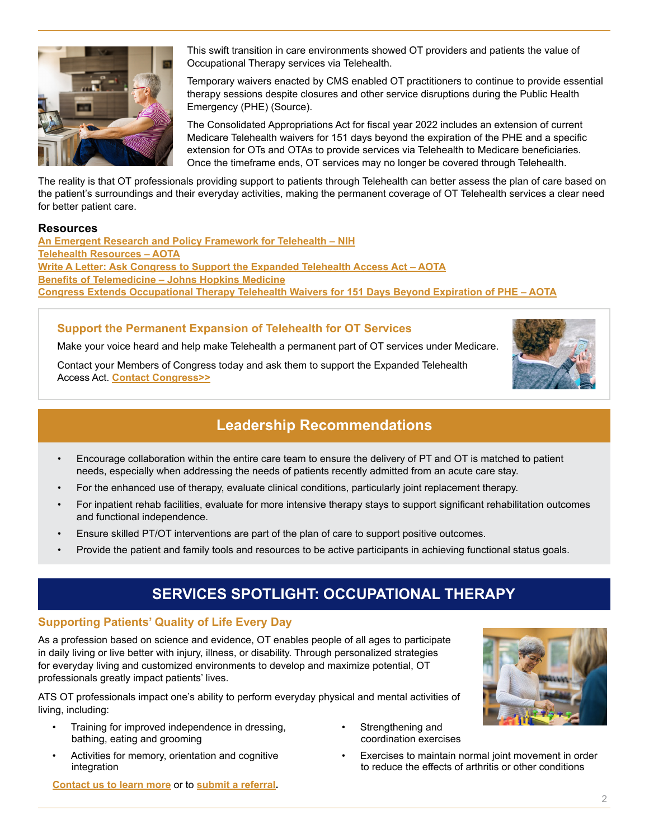

This swift transition in care environments showed OT providers and patients the value of Occupational Therapy services via Telehealth.

Temporary waivers enacted by CMS enabled OT practitioners to continue to provide essential therapy sessions despite closures and other service disruptions during the Public Health Emergency (PHE) (Source).

The Consolidated Appropriations Act for fiscal year 2022 includes an extension of current Medicare Telehealth waivers for 151 days beyond the expiration of the PHE and a specific extension for OTs and OTAs to provide services via Telehealth to Medicare beneficiaries. Once the timeframe ends, OT services may no longer be covered through Telehealth.

The reality is that OT professionals providing support to patients through Telehealth can better assess the plan of care based on the patient's surroundings and their everyday activities, making the permanent coverage of OT Telehealth services a clear need for better patient care.

### **Resources**

**[An Emergent Research and Policy Framework for Telehealth – NIH](https://www.ncbi.nlm.nih.gov/pmc/articles/PMC5389433/) [Telehealth Resources – AOTA](https://www.aota.org/practice/practice-essentials/telehealth-resources) [Write A Letter: Ask Congress to Support the Expanded Telehealth Access Act – AOTA](https://cqrcengage.com/aota/app/onestep-write-a-letter?1&engagementId=510602) [Benefits of Telemedicine – Johns Hopkins Medicine](https://www.hopkinsmedicine.org/health/treatment-tests-and-therapies/benefits-of-telemedicine) [Congress Extends Occupational Therapy Telehealth Waivers for 151 Days Beyond Expiration of PHE – AOTA](https://www.aota.org/advocacy/advocacy-news/2022/omnibus-telehealth-extension)**

### **Support the Permanent Expansion of Telehealth for OT Services**

Make your voice heard and help make Telehealth a permanent part of OT services under Medicare.

Contact your Members of Congress today and ask them to support the Expanded Telehealth Access Act. **[Contact Congress>>](https://cqrcengage.com/aota/app/onestep-write-a-letter?0&engagementId=510602)**



## **Leadership Recommendations**

- Encourage collaboration within the entire care team to ensure the delivery of PT and OT is matched to patient needs, especially when addressing the needs of patients recently admitted from an acute care stay.
- For the enhanced use of therapy, evaluate clinical conditions, particularly joint replacement therapy.
- For inpatient rehab facilities, evaluate for more intensive therapy stays to support significant rehabilitation outcomes and functional independence.
- Ensure skilled PT/OT interventions are part of the plan of care to support positive outcomes.
- Provide the patient and family tools and resources to be active participants in achieving functional status goals.

# **SERVICES SPOTLIGHT: OCCUPATIONAL THERAPY**

### **Supporting Patients' Quality of Life Every Day**

As a profession based on science and evidence, OT enables people of all ages to participate in daily living or live better with injury, illness, or disability. Through personalized strategies for everyday living and customized environments to develop and maximize potential, OT professionals greatly impact patients' lives.

ATS OT professionals impact one's ability to perform everyday physical and mental activities of living, including:

- Training for improved independence in dressing, bathing, eating and grooming
- Activities for memory, orientation and cognitive integration
- Strengthening and coordination exercises
- Exercises to maintain normal joint movement in order to reduce the effects of arthritis or other conditions

**[Contact us to learn more](https://ats-therapy.com/contact-us/)** or to **[submit a referral.](https://ats-therapy.com/contact-us/)**